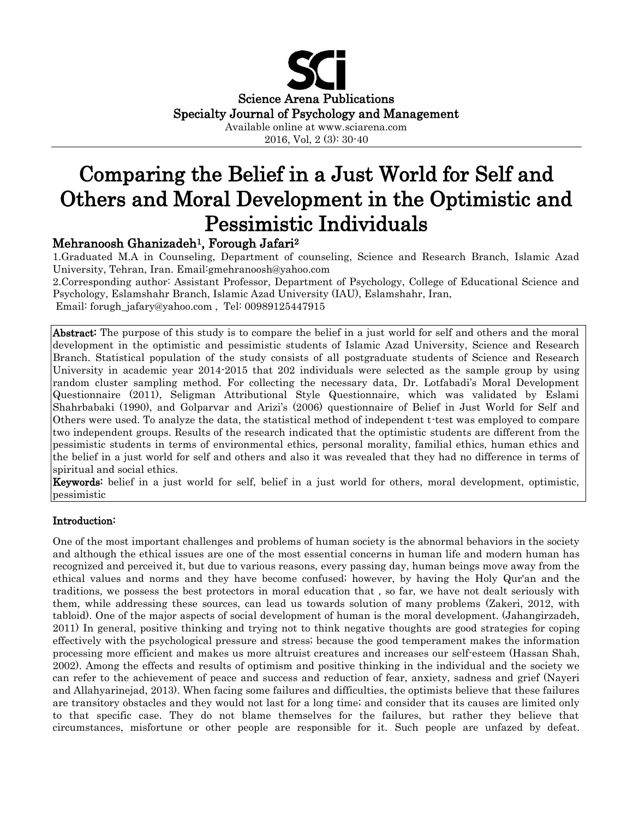

2016, Vol, 2 (3): 30-40

# Comparing the Belief in a Just World for Self and Others and Moral Development in the Optimistic and Pessimistic Individuals

# Mehranoosh Ghanizadeh<sup>1</sup>, Forough Jafari<sup>2</sup>

1.Graduated M.A in Counseling, Department of counseling, Science and Research Branch, Islamic Azad University, Tehran, Iran. Email:gmehranoosh@yahoo.com

2.Corresponding author: Assistant Professor, Department of Psychology, College of Educational Science and Psychology, Eslamshahr Branch, Islamic Azad University (IAU), Eslamshahr, Iran, Email: forugh\_jafary@yahoo.com , Tel: 00989125447915

Abstract: The purpose of this study is to compare the belief in a just world for self and others and the moral development in the optimistic and pessimistic students of Islamic Azad University, Science and Research Branch. Statistical population of the study consists of all postgraduate students of Science and Research University in academic year 2014-2015 that 202 individuals were selected as the sample group by using random cluster sampling method. For collecting the necessary data, Dr. Lotfabadi's Moral Development Questionnaire (2011), Seligman Attributional Style Questionnaire, which was validated by Eslami Shahrbabaki (1990), and Golparvar and Arizi's (2006) questionnaire of Belief in Just World for Self and Others were used. To analyze the data, the statistical method of independent t-test was employed to compare two independent groups. Results of the research indicated that the optimistic students are different from the pessimistic students in terms of environmental ethics, personal morality, familial ethics, human ethics and the belief in a just world for self and others and also it was revealed that they had no difference in terms of spiritual and social ethics.

Keywords: belief in a just world for self, belief in a just world for others, moral development, optimistic, pessimistic

# Introduction:

One of the most important challenges and problems of human society is the abnormal behaviors in the society and although the ethical issues are one of the most essential concerns in human life and modern human has recognized and perceived it, but due to various reasons, every passing day, human beings move away from the ethical values and norms and they have become confused; however, by having the Holy Qur'an and the traditions, we possess the best protectors in moral education that , so far, we have not dealt seriously with them, while addressing these sources, can lead us towards solution of many problems (Zakeri, 2012, with tabloid). One of the major aspects of social development of human is the moral development. (Jahangirzadeh, 2011) In general, positive thinking and trying not to think negative thoughts are good strategies for coping effectively with the psychological pressure and stress; because the good temperament makes the information processing more efficient and makes us more altruist creatures and increases our self-esteem (Hassan Shah, 2002). Among the effects and results of optimism and positive thinking in the individual and the society we can refer to the achievement of peace and success and reduction of fear, anxiety, sadness and grief (Nayeri and Allahyarinejad, 2013). When facing some failures and difficulties, the optimists believe that these failures are transitory obstacles and they would not last for a long time; and consider that its causes are limited only to that specific case. They do not blame themselves for the failures, but rather they believe that circumstances, misfortune or other people are responsible for it. Such people are unfazed by defeat.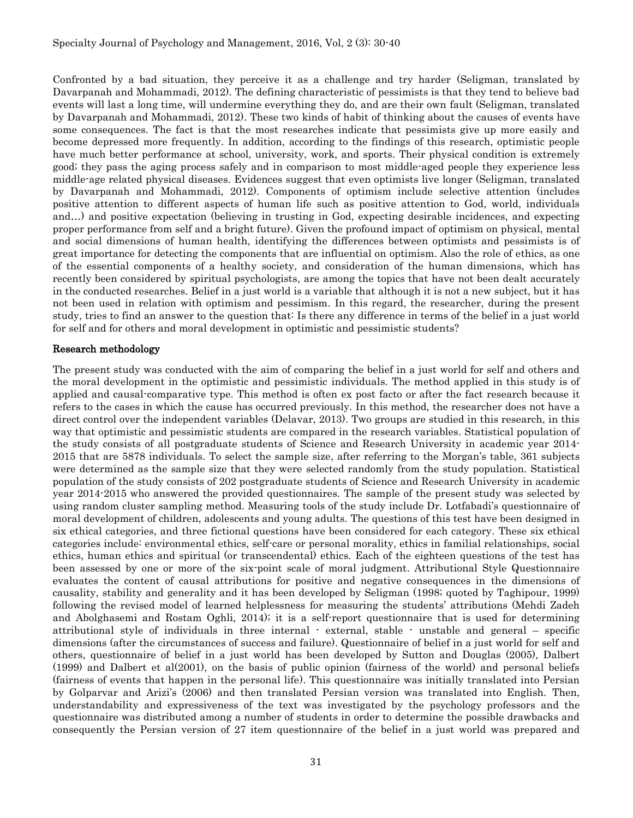Confronted by a bad situation, they perceive it as a challenge and try harder (Seligman, translated by Davarpanah and Mohammadi, 2012). The defining characteristic of pessimists is that they tend to believe bad events will last a long time, will undermine everything they do, and are their own fault (Seligman, translated by Davarpanah and Mohammadi, 2012). These two kinds of habit of thinking about the causes of events have some consequences. The fact is that the most researches indicate that pessimists give up more easily and become depressed more frequently. In addition, according to the findings of this research, optimistic people have much better performance at school, university, work, and sports. Their physical condition is extremely good; they pass the aging process safely and in comparison to most middle-aged people they experience less middle-age related physical diseases. Evidences suggest that even optimists live longer (Seligman, translated by Davarpanah and Mohammadi, 2012). Components of optimism include selective attention (includes positive attention to different aspects of human life such as positive attention to God, world, individuals and…) and positive expectation (believing in trusting in God, expecting desirable incidences, and expecting proper performance from self and a bright future). Given the profound impact of optimism on physical, mental and social dimensions of human health, identifying the differences between optimists and pessimists is of great importance for detecting the components that are influential on optimism. Also the role of ethics, as one of the essential components of a healthy society, and consideration of the human dimensions, which has recently been considered by spiritual psychologists, are among the topics that have not been dealt accurately in the conducted researches. Belief in a just world is a variable that although it is not a new subject, but it has not been used in relation with optimism and pessimism. In this regard, the researcher, during the present study, tries to find an answer to the question that: Is there any difference in terms of the belief in a just world for self and for others and moral development in optimistic and pessimistic students?

#### Research methodology

The present study was conducted with the aim of comparing the belief in a just world for self and others and the moral development in the optimistic and pessimistic individuals. The method applied in this study is of applied and causal-comparative type. This method is often ex post facto or after the fact research because it refers to the cases in which the cause has occurred previously. In this method, the researcher does not have a direct control over the independent variables (Delavar, 2013). Two groups are studied in this research, in this way that optimistic and pessimistic students are compared in the research variables. Statistical population of the study consists of all postgraduate students of Science and Research University in academic year 2014- 2015 that are 5878 individuals. To select the sample size, after referring to the Morgan's table, 361 subjects were determined as the sample size that they were selected randomly from the study population. Statistical population of the study consists of 202 postgraduate students of Science and Research University in academic year 2014-2015 who answered the provided questionnaires. The sample of the present study was selected by using random cluster sampling method. Measuring tools of the study include Dr. Lotfabadi's questionnaire of moral development of children, adolescents and young adults. The questions of this test have been designed in six ethical categories, and three fictional questions have been considered for each category. These six ethical categories include: environmental ethics, self-care or personal morality, ethics in familial relationships, social ethics, human ethics and spiritual (or transcendental) ethics. Each of the eighteen questions of the test has been assessed by one or more of the six-point scale of moral judgment. Attributional Style Questionnaire evaluates the content of causal attributions for positive and negative consequences in the dimensions of causality, stability and generality and it has been developed by Seligman (1998; quoted by Taghipour, 1999) following the revised model of learned helplessness for measuring the students' attributions (Mehdi Zadeh and Abolghasemi and Rostam Oghli, 2014); it is a self-report questionnaire that is used for determining attributional style of individuals in three internal - external, stable - unstable and general – specific dimensions (after the circumstances of success and failure). Questionnaire of belief in a just world for self and others, questionnaire of belief in a just world has been developed by Sutton and Douglas (2005), Dalbert (1999) and Dalbert et al(2001), on the basis of public opinion (fairness of the world) and personal beliefs (fairness of events that happen in the personal life). This questionnaire was initially translated into Persian by Golparvar and Arizi's (2006) and then translated Persian version was translated into English. Then, understandability and expressiveness of the text was investigated by the psychology professors and the questionnaire was distributed among a number of students in order to determine the possible drawbacks and consequently the Persian version of 27 item questionnaire of the belief in a just world was prepared and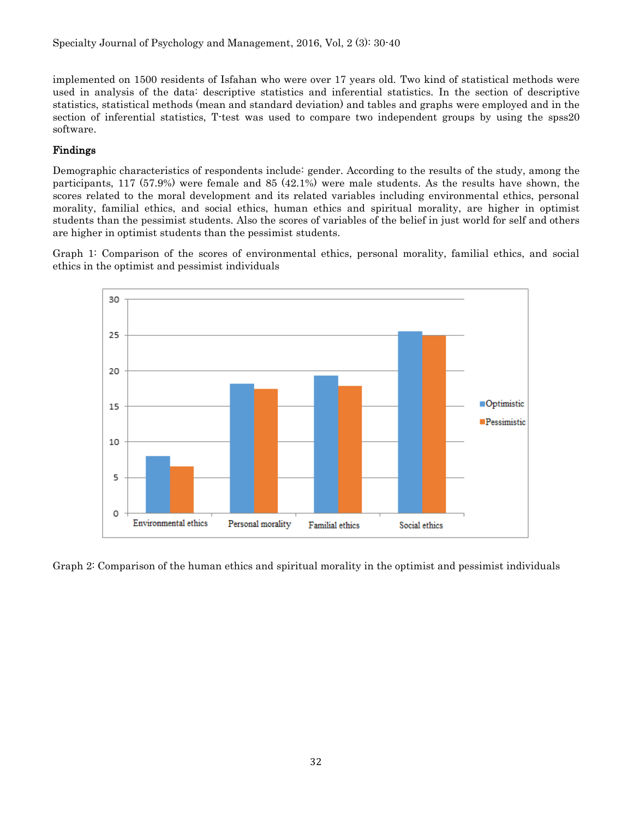implemented on 1500 residents of Isfahan who were over 17 years old. Two kind of statistical methods were used in analysis of the data: descriptive statistics and inferential statistics. In the section of descriptive statistics, statistical methods (mean and standard deviation) and tables and graphs were employed and in the section of inferential statistics, T-test was used to compare two independent groups by using the spss20 software.

## Findings

Demographic characteristics of respondents include: gender. According to the results of the study, among the participants, 117 (57.9%) were female and 85 (42.1%) were male students. As the results have shown, the scores related to the moral development and its related variables including environmental ethics, personal morality, familial ethics, and social ethics, human ethics and spiritual morality, are higher in optimist students than the pessimist students. Also the scores of variables of the belief in just world for self and others are higher in optimist students than the pessimist students.

Graph 1: Comparison of the scores of environmental ethics, personal morality, familial ethics, and social ethics in the optimist and pessimist individuals



Graph 2: Comparison of the human ethics and spiritual morality in the optimist and pessimist individuals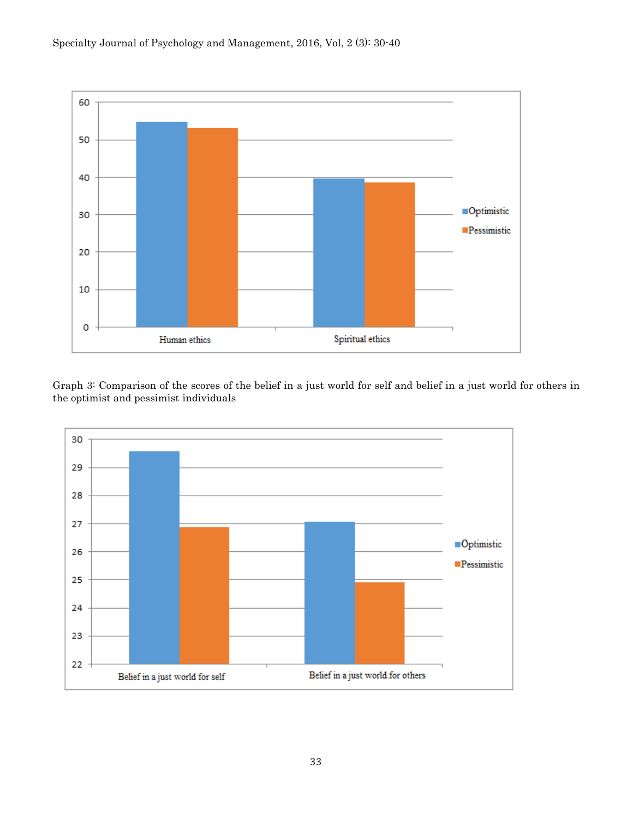

Graph 3: Comparison of the scores of the belief in a just world for self and belief in a just world for others in the optimist and pessimist individuals

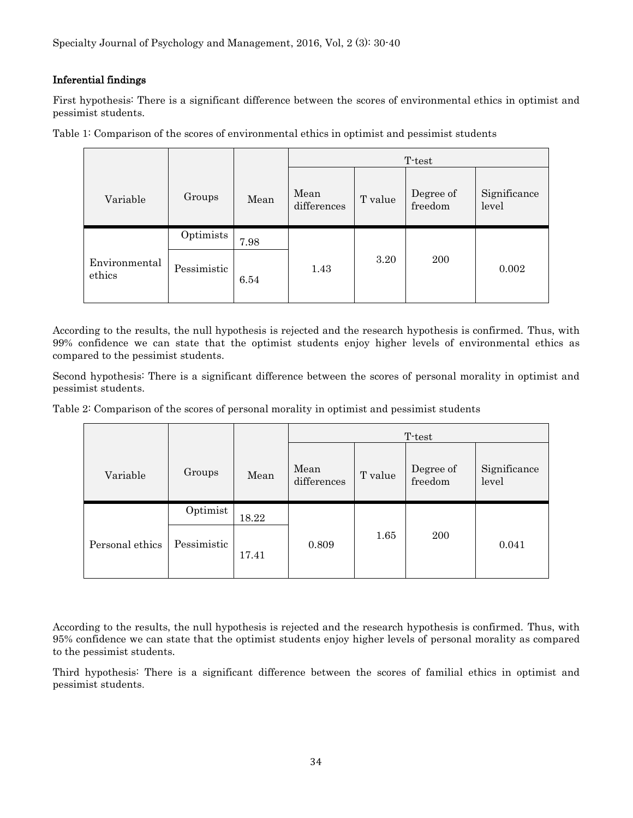### Inferential findings

First hypothesis: There is a significant difference between the scores of environmental ethics in optimist and pessimist students.

|                         |             |      | T-test              |         |                      |                       |
|-------------------------|-------------|------|---------------------|---------|----------------------|-----------------------|
| Variable                | Groups      | Mean | Mean<br>differences | T value | Degree of<br>freedom | Significance<br>level |
|                         | Optimists   | 7.98 |                     |         |                      |                       |
| Environmental<br>ethics | Pessimistic | 6.54 | 1.43                | 3.20    | 200                  | 0.002                 |

Table 1: Comparison of the scores of environmental ethics in optimist and pessimist students

According to the results, the null hypothesis is rejected and the research hypothesis is confirmed. Thus, with 99% confidence we can state that the optimist students enjoy higher levels of environmental ethics as compared to the pessimist students.

Second hypothesis: There is a significant difference between the scores of personal morality in optimist and pessimist students.

Table 2: Comparison of the scores of personal morality in optimist and pessimist students

|                 |             |       | T-test              |         |                      |                       |
|-----------------|-------------|-------|---------------------|---------|----------------------|-----------------------|
| Variable        | Groups      | Mean  | Mean<br>differences | T value | Degree of<br>freedom | Significance<br>level |
|                 | Optimist    | 18.22 |                     |         |                      |                       |
| Personal ethics | Pessimistic | 17.41 | 0.809               | 1.65    | <b>200</b>           | 0.041                 |

According to the results, the null hypothesis is rejected and the research hypothesis is confirmed. Thus, with 95% confidence we can state that the optimist students enjoy higher levels of personal morality as compared to the pessimist students.

Third hypothesis: There is a significant difference between the scores of familial ethics in optimist and pessimist students.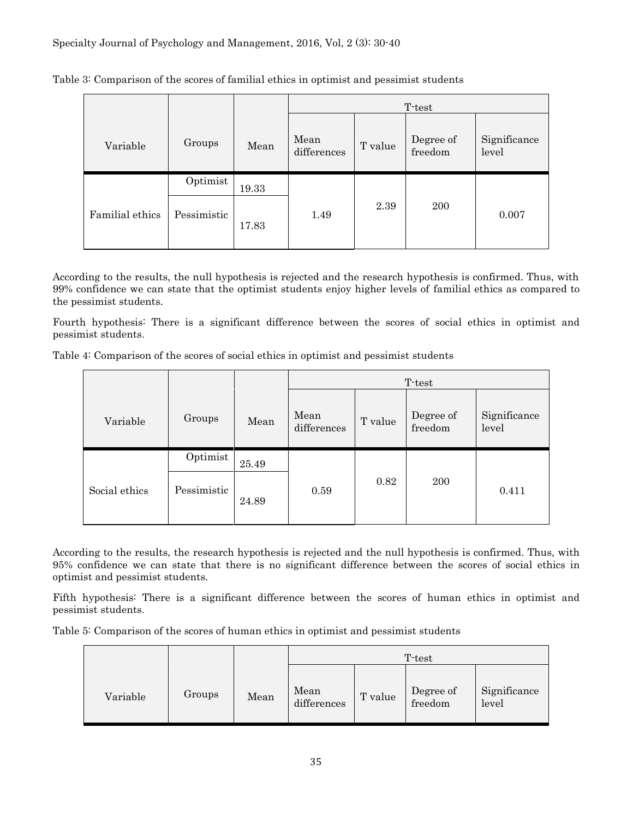|                 |             |       | T-test              |         |                      |                       |  |
|-----------------|-------------|-------|---------------------|---------|----------------------|-----------------------|--|
| Variable        | Groups      | Mean  | Mean<br>differences | T value | Degree of<br>freedom | Significance<br>level |  |
|                 | Optimist    | 19.33 |                     |         |                      |                       |  |
| Familial ethics | Pessimistic | 17.83 | 1.49                | 2.39    | <b>200</b>           | 0.007                 |  |

Table 3: Comparison of the scores of familial ethics in optimist and pessimist students

According to the results, the null hypothesis is rejected and the research hypothesis is confirmed. Thus, with 99% confidence we can state that the optimist students enjoy higher levels of familial ethics as compared to the pessimist students.

Fourth hypothesis: There is a significant difference between the scores of social ethics in optimist and pessimist students.

Table 4: Comparison of the scores of social ethics in optimist and pessimist students

|               |             |       | T-test              |         |                      |                       |
|---------------|-------------|-------|---------------------|---------|----------------------|-----------------------|
| Variable      | Groups      | Mean  | Mean<br>differences | T value | Degree of<br>freedom | Significance<br>level |
|               | Optimist    | 25.49 |                     |         |                      |                       |
| Social ethics | Pessimistic | 24.89 | 0.59                | 0.82    | <b>200</b>           | 0.411                 |

According to the results, the research hypothesis is rejected and the null hypothesis is confirmed. Thus, with 95% confidence we can state that there is no significant difference between the scores of social ethics in optimist and pessimist students.

Fifth hypothesis: There is a significant difference between the scores of human ethics in optimist and pessimist students.

Table 5: Comparison of the scores of human ethics in optimist and pessimist students

|          |        |      | T-test              |         |                      |                       |  |
|----------|--------|------|---------------------|---------|----------------------|-----------------------|--|
| Variable | Groups | Mean | Mean<br>differences | T value | Degree of<br>freedom | Significance<br>level |  |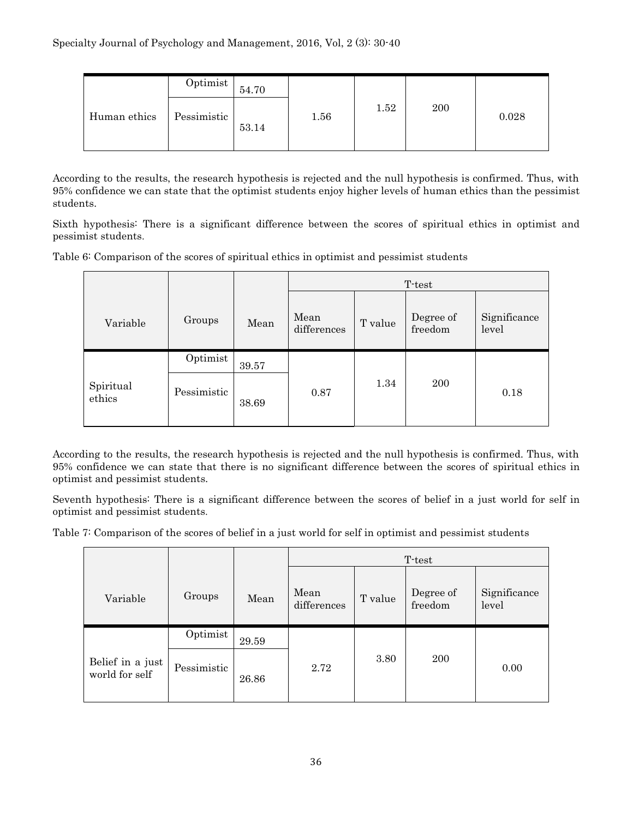|              | Optimist    | 54.70 |      |      |     |       |
|--------------|-------------|-------|------|------|-----|-------|
| Human ethics | Pessimistic | 53.14 | 1.56 | 1.52 | 200 | 0.028 |

According to the results, the research hypothesis is rejected and the null hypothesis is confirmed. Thus, with 95% confidence we can state that the optimist students enjoy higher levels of human ethics than the pessimist students.

Sixth hypothesis: There is a significant difference between the scores of spiritual ethics in optimist and pessimist students.

Table 6: Comparison of the scores of spiritual ethics in optimist and pessimist students

|                     |             |       | T-test              |         |                      |                       |
|---------------------|-------------|-------|---------------------|---------|----------------------|-----------------------|
| Variable            | Groups      | Mean  | Mean<br>differences | T value | Degree of<br>freedom | Significance<br>level |
|                     | Optimist    | 39.57 |                     |         |                      |                       |
| Spiritual<br>ethics | Pessimistic | 38.69 | 0.87                | 1.34    | 200                  | 0.18                  |

According to the results, the research hypothesis is rejected and the null hypothesis is confirmed. Thus, with 95% confidence we can state that there is no significant difference between the scores of spiritual ethics in optimist and pessimist students.

Seventh hypothesis: There is a significant difference between the scores of belief in a just world for self in optimist and pessimist students.

Table 7: Comparison of the scores of belief in a just world for self in optimist and pessimist students

|                                    |             |       | T-test              |         |                      |                       |
|------------------------------------|-------------|-------|---------------------|---------|----------------------|-----------------------|
| Variable                           | Groups      | Mean  | Mean<br>differences | T value | Degree of<br>freedom | Significance<br>level |
|                                    | Optimist    | 29.59 |                     |         |                      |                       |
| Belief in a just<br>world for self | Pessimistic | 26.86 | 2.72                | 3.80    | 200                  | 0.00                  |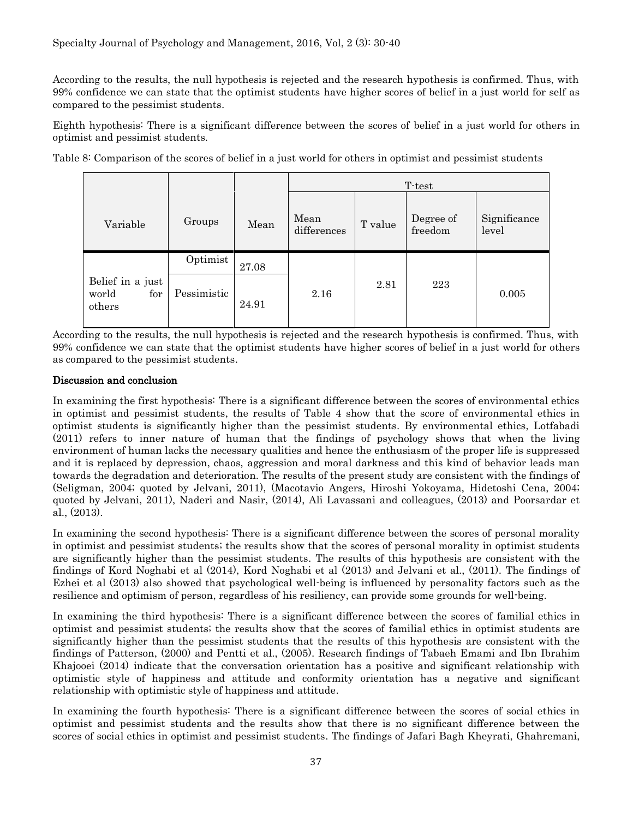According to the results, the null hypothesis is rejected and the research hypothesis is confirmed. Thus, with 99% confidence we can state that the optimist students have higher scores of belief in a just world for self as compared to the pessimist students.

Eighth hypothesis: There is a significant difference between the scores of belief in a just world for others in optimist and pessimist students.

Table 8: Comparison of the scores of belief in a just world for others in optimist and pessimist students

|                                            |             |       | T-test              |         |                      |                       |
|--------------------------------------------|-------------|-------|---------------------|---------|----------------------|-----------------------|
| Variable                                   | Groups      | Mean  | Mean<br>differences | T value | Degree of<br>freedom | Significance<br>level |
|                                            | Optimist    | 27.08 |                     |         |                      |                       |
| Belief in a just<br>world<br>for<br>others | Pessimistic | 24.91 | 2.16                | 2.81    | 223                  | 0.005                 |

According to the results, the null hypothesis is rejected and the research hypothesis is confirmed. Thus, with 99% confidence we can state that the optimist students have higher scores of belief in a just world for others as compared to the pessimist students.

#### Discussion and conclusion

In examining the first hypothesis: There is a significant difference between the scores of environmental ethics in optimist and pessimist students, the results of Table 4 show that the score of environmental ethics in optimist students is significantly higher than the pessimist students. By environmental ethics, Lotfabadi (2011) refers to inner nature of human that the findings of psychology shows that when the living environment of human lacks the necessary qualities and hence the enthusiasm of the proper life is suppressed and it is replaced by depression, chaos, aggression and moral darkness and this kind of behavior leads man towards the degradation and deterioration. The results of the present study are consistent with the findings of (Seligman, 2004; quoted by Jelvani, 2011), (Macotavio Angers, Hiroshi Yokoyama, Hidetoshi Cena, 2004; quoted by Jelvani, 2011), Naderi and Nasir, (2014), Ali Lavassani and colleagues, (2013) and Poorsardar et al., (2013).

In examining the second hypothesis: There is a significant difference between the scores of personal morality in optimist and pessimist students; the results show that the scores of personal morality in optimist students are significantly higher than the pessimist students. The results of this hypothesis are consistent with the findings of Kord Noghabi et al (2014), Kord Noghabi et al (2013) and Jelvani et al., (2011). The findings of Ezhei et al (2013) also showed that psychological well-being is influenced by personality factors such as the resilience and optimism of person, regardless of his resiliency, can provide some grounds for well-being.

In examining the third hypothesis: There is a significant difference between the scores of familial ethics in optimist and pessimist students; the results show that the scores of familial ethics in optimist students are significantly higher than the pessimist students that the results of this hypothesis are consistent with the findings of Patterson, (2000) and Pentti et al., (2005). Research findings of Tabaeh Emami and Ibn Ibrahim Khajooei (2014) indicate that the conversation orientation has a positive and significant relationship with optimistic style of happiness and attitude and conformity orientation has a negative and significant relationship with optimistic style of happiness and attitude.

In examining the fourth hypothesis: There is a significant difference between the scores of social ethics in optimist and pessimist students and the results show that there is no significant difference between the scores of social ethics in optimist and pessimist students. The findings of Jafari Bagh Kheyrati, Ghahremani,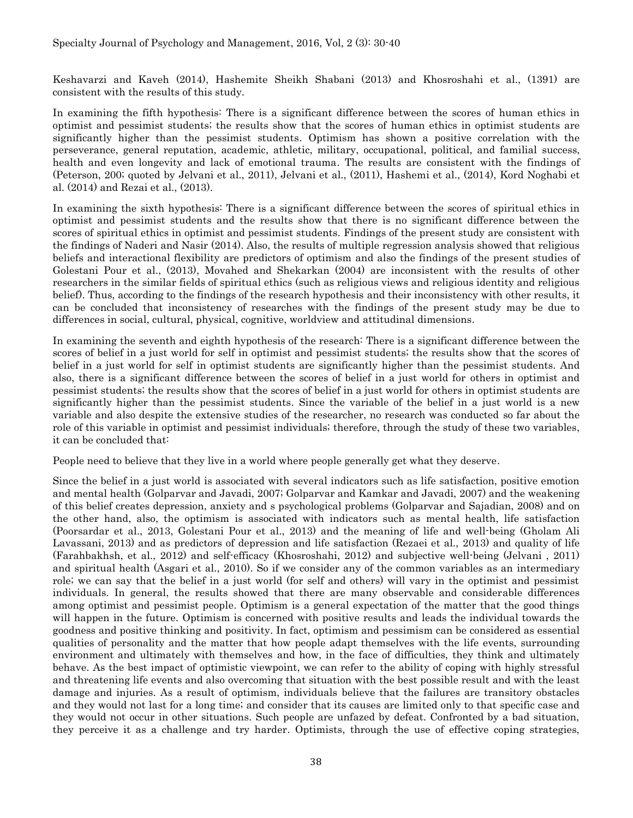Keshavarzi and Kaveh (2014), Hashemite Sheikh Shabani (2013) and Khosroshahi et al., (1391) are consistent with the results of this study.

In examining the fifth hypothesis: There is a significant difference between the scores of human ethics in optimist and pessimist students; the results show that the scores of human ethics in optimist students are significantly higher than the pessimist students. Optimism has shown a positive correlation with the perseverance, general reputation, academic, athletic, military, occupational, political, and familial success, health and even longevity and lack of emotional trauma. The results are consistent with the findings of (Peterson, 200; quoted by Jelvani et al., 2011), Jelvani et al., (2011), Hashemi et al., (2014), Kord Noghabi et al. (2014) and Rezai et al., (2013).

In examining the sixth hypothesis: There is a significant difference between the scores of spiritual ethics in optimist and pessimist students and the results show that there is no significant difference between the scores of spiritual ethics in optimist and pessimist students. Findings of the present study are consistent with the findings of Naderi and Nasir (2014). Also, the results of multiple regression analysis showed that religious beliefs and interactional flexibility are predictors of optimism and also the findings of the present studies of Golestani Pour et al., (2013), Movahed and Shekarkan (2004) are inconsistent with the results of other researchers in the similar fields of spiritual ethics (such as religious views and religious identity and religious belief). Thus, according to the findings of the research hypothesis and their inconsistency with other results, it can be concluded that inconsistency of researches with the findings of the present study may be due to differences in social, cultural, physical, cognitive, worldview and attitudinal dimensions.

In examining the seventh and eighth hypothesis of the research: There is a significant difference between the scores of belief in a just world for self in optimist and pessimist students; the results show that the scores of belief in a just world for self in optimist students are significantly higher than the pessimist students. And also, there is a significant difference between the scores of belief in a just world for others in optimist and pessimist students; the results show that the scores of belief in a just world for others in optimist students are significantly higher than the pessimist students. Since the variable of the belief in a just world is a new variable and also despite the extensive studies of the researcher, no research was conducted so far about the role of this variable in optimist and pessimist individuals; therefore, through the study of these two variables, it can be concluded that:

People need to believe that they live in a world where people generally get what they deserve.

Since the belief in a just world is associated with several indicators such as life satisfaction, positive emotion and mental health (Golparvar and Javadi, 2007; Golparvar and Kamkar and Javadi, 2007) and the weakening of this belief creates depression, anxiety and s psychological problems (Golparvar and Sajadian, 2008) and on the other hand, also, the optimism is associated with indicators such as mental health, life satisfaction (Poorsardar et al., 2013, Golestani Pour et al., 2013) and the meaning of life and well-being (Gholam Ali Lavassani, 2013) and as predictors of depression and life satisfaction (Rezaei et al., 2013) and quality of life (Farahbakhsh, et al., 2012) and self-efficacy (Khosroshahi, 2012) and subjective well-being (Jelvani , 2011) and spiritual health (Asgari et al., 2010). So if we consider any of the common variables as an intermediary role; we can say that the belief in a just world (for self and others) will vary in the optimist and pessimist individuals. In general, the results showed that there are many observable and considerable differences among optimist and pessimist people. Optimism is a general expectation of the matter that the good things will happen in the future. Optimism is concerned with positive results and leads the individual towards the goodness and positive thinking and positivity. In fact, optimism and pessimism can be considered as essential qualities of personality and the matter that how people adapt themselves with the life events, surrounding environment and ultimately with themselves and how, in the face of difficulties, they think and ultimately behave. As the best impact of optimistic viewpoint, we can refer to the ability of coping with highly stressful and threatening life events and also overcoming that situation with the best possible result and with the least damage and injuries. As a result of optimism, individuals believe that the failures are transitory obstacles and they would not last for a long time; and consider that its causes are limited only to that specific case and they would not occur in other situations. Such people are unfazed by defeat. Confronted by a bad situation, they perceive it as a challenge and try harder. Optimists, through the use of effective coping strategies,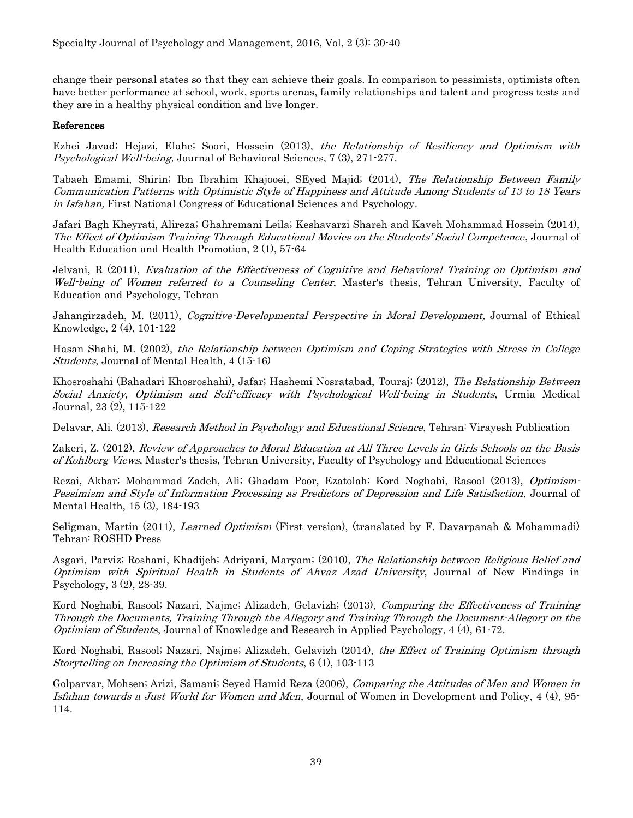change their personal states so that they can achieve their goals. In comparison to pessimists, optimists often have better performance at school, work, sports arenas, family relationships and talent and progress tests and they are in a healthy physical condition and live longer.

#### References

Ezhei Javad; Hejazi, Elahe; Soori, Hossein (2013), the Relationship of Resiliency and Optimism with Psychological Well-being, Journal of Behavioral Sciences, 7 (3), 271-277.

Tabaeh Emami, Shirin; Ibn Ibrahim Khajooei, SEyed Majid; (2014), The Relationship Between Family Communication Patterns with Optimistic Style of Happiness and Attitude Among Students of 13 to 18 Years in Isfahan, First National Congress of Educational Sciences and Psychology.

Jafari Bagh Kheyrati, Alireza; Ghahremani Leila; Keshavarzi Shareh and Kaveh Mohammad Hossein (2014), The Effect of Optimism Training Through Educational Movies on the Students' Social Competence, Journal of Health Education and Health Promotion, 2 (1), 57-64

Jelvani, R (2011), Evaluation of the Effectiveness of Cognitive and Behavioral Training on Optimism and Well-being of Women referred to a Counseling Center, Master's thesis, Tehran University, Faculty of Education and Psychology, Tehran

Jahangirzadeh, M. (2011), Cognitive-Developmental Perspective in Moral Development, Journal of Ethical Knowledge, 2 (4), 101-122

Hasan Shahi, M. (2002), the Relationship between Optimism and Coping Strategies with Stress in College Students, Journal of Mental Health, 4 (15-16)

Khosroshahi (Bahadari Khosroshahi), Jafar; Hashemi Nosratabad, Touraj; (2012), The Relationship Between Social Anxiety, Optimism and Self-efficacy with Psychological Well-being in Students, Urmia Medical Journal, 23 (2), 115-122

Delavar, Ali. (2013), Research Method in Psychology and Educational Science, Tehran: Virayesh Publication

Zakeri, Z. (2012), Review of Approaches to Moral Education at All Three Levels in Girls Schools on the Basis of Kohlberg Views, Master's thesis, Tehran University, Faculty of Psychology and Educational Sciences

Rezai, Akbar; Mohammad Zadeh, Ali; Ghadam Poor, Ezatolah; Kord Noghabi, Rasool (2013), Optimism-Pessimism and Style of Information Processing as Predictors of Depression and Life Satisfaction, Journal of Mental Health, 15 (3), 184-193

Seligman, Martin (2011), Learned Optimism (First version), (translated by F. Davarpanah & Mohammadi) Tehran: ROSHD Press

Asgari, Parviz; Roshani, Khadijeh; Adriyani, Maryam; (2010), The Relationship between Religious Belief and Optimism with Spiritual Health in Students of Ahvaz Azad University, Journal of New Findings in Psychology, 3 (2), 28-39.

Kord Noghabi, Rasool; Nazari, Najme; Alizadeh, Gelavizh; (2013), Comparing the Effectiveness of Training Through the Documents, Training Through the Allegory and Training Through the Document-Allegory on the Optimism of Students, Journal of Knowledge and Research in Applied Psychology, 4 (4), 61-72.

Kord Noghabi, Rasool; Nazari, Najme; Alizadeh, Gelavizh (2014), the Effect of Training Optimism through Storytelling on Increasing the Optimism of Students, 6 (1), 103-113

Golparvar, Mohsen; Arizi, Samani; Seyed Hamid Reza (2006), Comparing the Attitudes of Men and Women in Isfahan towards a Just World for Women and Men, Journal of Women in Development and Policy, 4 (4), 95- 114.